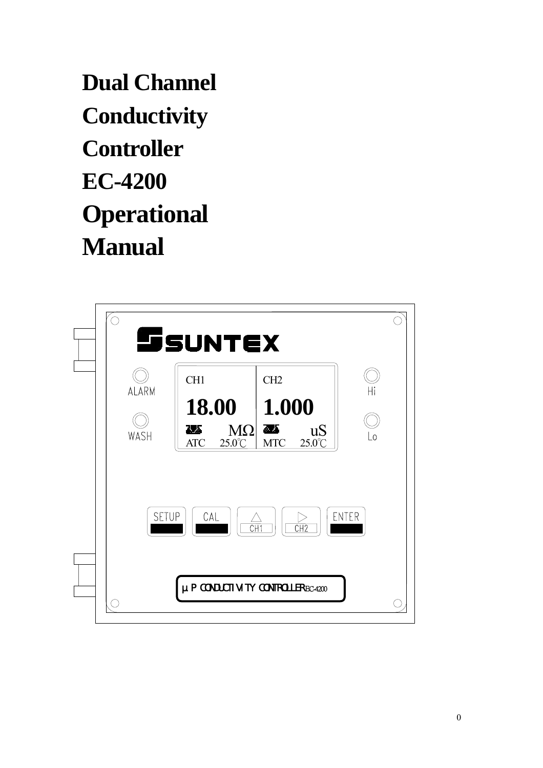**Dual Channel Conductivity Controller EC-4200 Operational Manual** 

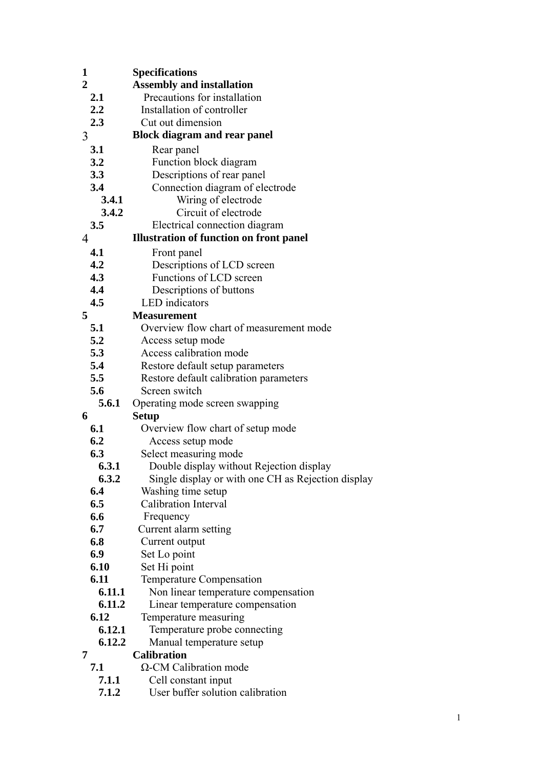| 1                | <b>Specifications</b>                              |
|------------------|----------------------------------------------------|
| $\overline{2}$   | <b>Assembly and installation</b>                   |
| 2.1              | Precautions for installation                       |
| $2.2\phantom{0}$ | Installation of controller                         |
| 2.3              | Cut out dimension                                  |
| 3                | <b>Block diagram and rear panel</b>                |
| 3.1              | Rear panel                                         |
| 3.2              | Function block diagram                             |
| 3.3              | Descriptions of rear panel                         |
| 3.4              | Connection diagram of electrode                    |
| 3.4.1            | Wiring of electrode                                |
| 3.4.2            | Circuit of electrode                               |
| 3.5              | Electrical connection diagram                      |
| 4                | <b>Illustration of function on front panel</b>     |
| 4.1              | Front panel                                        |
| 4.2              | Descriptions of LCD screen                         |
| 4.3              | Functions of LCD screen                            |
| 4.4              | Descriptions of buttons                            |
| 4.5              | <b>LED</b> indicators                              |
| 5                | <b>Measurement</b>                                 |
| 5.1              | Overview flow chart of measurement mode            |
| 5.2              | Access setup mode                                  |
| 5.3              | Access calibration mode                            |
| 5.4              | Restore default setup parameters                   |
| 5.5              | Restore default calibration parameters             |
| 5.6              | Screen switch                                      |
| 5.6.1            | Operating mode screen swapping                     |
| 6                | <b>Setup</b>                                       |
| 6.1              | Overview flow chart of setup mode                  |
| 6.2              | Access setup mode                                  |
| 6.3              | Select measuring mode                              |
| 6.3.1            | Double display without Rejection display           |
| 6.3.2            | Single display or with one CH as Rejection display |
| 6.4              | Washing time setup                                 |
| 6.5              | Calibration Interval                               |
| 6.6              | Frequency                                          |
| 6.7              | Current alarm setting                              |
| 6.8              | Current output                                     |
| 6.9              | Set Lo point                                       |
| 6.10             | Set Hi point                                       |
| 6.11             | <b>Temperature Compensation</b>                    |
| 6.11.1           | Non linear temperature compensation                |
| 6.11.2           | Linear temperature compensation                    |
| 6.12             | Temperature measuring                              |
| 6.12.1           | Temperature probe connecting                       |
| 6.12.2           | Manual temperature setup                           |
| 7                | <b>Calibration</b>                                 |
| 7.1              | $\Omega$ -CM Calibration mode                      |
| 7.1.1            | Cell constant input                                |

**7.1.2** User buffer solution calibration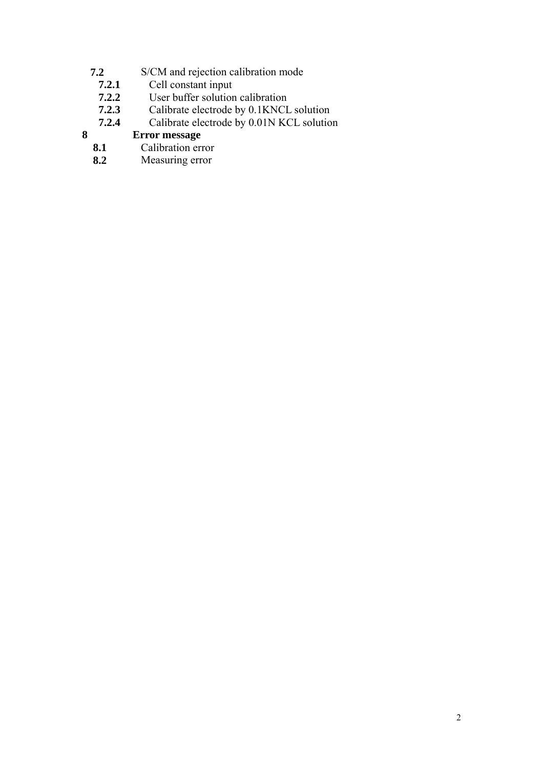- **7.2** S/CM and rejection calibration mode
- **7.2.1** Cell constant input
- **7.2.2** User buffer solution calibration<br>**7.2.3** Calibrate electrode by 0.1KNCL
- **7.2.3** Calibrate electrode by 0.1KNCL solution<br>**7.2.4** Calibrate electrode by 0.01N KCL solution
- **7.2.4** Calibrate electrode by 0.01N KCL solution

# **8 Error message**

- **8.1** Calibration error
- **8.2** Measuring error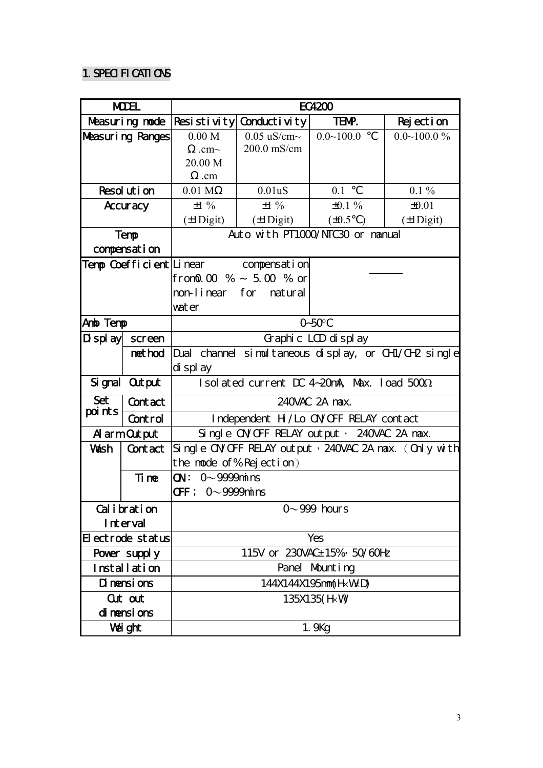# 1. SPECIFICATIONS

| <b>MDEL</b>       |                                                                  | EC4200                                     |                                      |                     |                                                      |  |
|-------------------|------------------------------------------------------------------|--------------------------------------------|--------------------------------------|---------------------|------------------------------------------------------|--|
| Measuring node    |                                                                  |                                            | $ Resi$ stivity Conductivity         | TENP.               | Rejection                                            |  |
| Measuring Ranges  |                                                                  | 0.00 M                                     | $0.05 \text{ uS/cm}$                 | $0.0 - 100.0$       | $0.0 \sim 100.0 \%$                                  |  |
|                   |                                                                  | $cm \sim$                                  | $200.0$ mS/cm                        |                     |                                                      |  |
|                   |                                                                  | 20.00 M                                    |                                      |                     |                                                      |  |
|                   |                                                                  | .cm                                        |                                      |                     |                                                      |  |
|                   | Resolution                                                       | 0.01 <sub>M</sub>                          | 0.01uS                               | 0.1                 | $0.1\%$                                              |  |
|                   | Accuracy                                                         | $\pm 1\%$                                  | $\pm 1\%$                            | $\pm 0.1 \%$        | $\pm 0.01$                                           |  |
|                   |                                                                  | $(\pm 1$ Digit)                            | $(\pm 1$ Digit)                      | $(\pm 0.5)$         | $(\pm 1$ Digit)                                      |  |
|                   | Temp                                                             | Auto with PT1000/NTC30 or namual           |                                      |                     |                                                      |  |
|                   | compensation                                                     |                                            |                                      |                     |                                                      |  |
|                   |                                                                  |                                            | Temp Coefficient Linear compensation |                     |                                                      |  |
|                   |                                                                  |                                            | from 0.00 % $\sim$ 5.00 % or         |                     |                                                      |  |
|                   |                                                                  |                                            | non-linear for natural               |                     |                                                      |  |
|                   |                                                                  | wat er                                     |                                      |                     |                                                      |  |
| Anto Temp         |                                                                  | $0-50°C$                                   |                                      |                     |                                                      |  |
|                   | $\mathbf{\Pi}$ splay screen                                      |                                            |                                      | Graphic LCD display |                                                      |  |
|                   | net hod                                                          |                                            |                                      |                     | Dual channel simultaneous display, or CHI/CH2 single |  |
|                   |                                                                  | di spl ay                                  |                                      |                     |                                                      |  |
|                   | Signal Output                                                    | Isolated current DC 4-20mA Max. load 5000  |                                      |                     |                                                      |  |
| Set<br>Contact    |                                                                  | 240VAC 2A nax.                             |                                      |                     |                                                      |  |
| points<br>Control |                                                                  | Independent H/Lo OVOFF RELAY contact       |                                      |                     |                                                      |  |
|                   | A arm Out put                                                    | Single OVCFF RELAY output , 240VAC 2A nax. |                                      |                     |                                                      |  |
| Wash              | Single OV OFF RELAY output, 240VAC 2A nax. (Only with<br>Contact |                                            |                                      |                     |                                                      |  |
|                   |                                                                  | the node of % Rejection)                   |                                      |                     |                                                      |  |
| Ti ne             |                                                                  | $\infty$ : 0~9999 $\min$                   |                                      |                     |                                                      |  |
|                   |                                                                  | $0 \sim 9999$ nins<br><b>CFF</b> :         |                                      |                     |                                                      |  |
| Calibration       |                                                                  | $0\neg 999$ hours                          |                                      |                     |                                                      |  |
| Interval          |                                                                  |                                            |                                      |                     |                                                      |  |
| Electrode status  |                                                                  | Yes                                        |                                      |                     |                                                      |  |
| Power supply      |                                                                  | 115V or 230VAC±15% 50/60Hz                 |                                      |                     |                                                      |  |
| Installation      |                                                                  | Panel Mounting                             |                                      |                     |                                                      |  |
| Di nensi ons      |                                                                  | 144X144X195nm(HKWD)                        |                                      |                     |                                                      |  |
|                   | Cut out                                                          | 135X135(HW)                                |                                      |                     |                                                      |  |
| dinensions        |                                                                  |                                            |                                      |                     |                                                      |  |
|                   | Vei ght                                                          | 1.9kg                                      |                                      |                     |                                                      |  |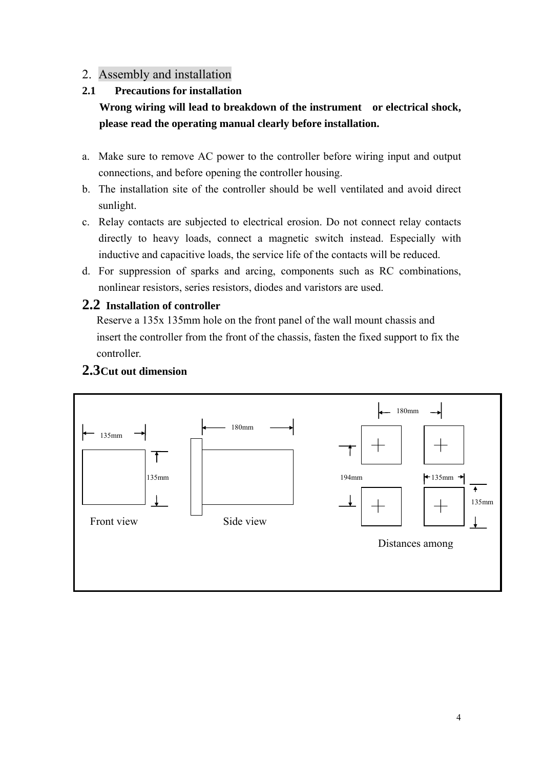## 2. Assembly and installation

## **2.1 Precautions for installation**

# **Wrong wiring will lead to breakdown of the instrument or electrical shock, please read the operating manual clearly before installation.**

- a. Make sure to remove AC power to the controller before wiring input and output connections, and before opening the controller housing.
- b. The installation site of the controller should be well ventilated and avoid direct sunlight.
- c. Relay contacts are subjected to electrical erosion. Do not connect relay contacts directly to heavy loads, connect a magnetic switch instead. Especially with inductive and capacitive loads, the service life of the contacts will be reduced.
- d. For suppression of sparks and arcing, components such as RC combinations, nonlinear resistors, series resistors, diodes and varistors are used.

## **2.2 Installation of controller**

Reserve a 135x 135mm hole on the front panel of the wall mount chassis and insert the controller from the front of the chassis, fasten the fixed support to fix the controller.

# **2.3Cut out dimension**

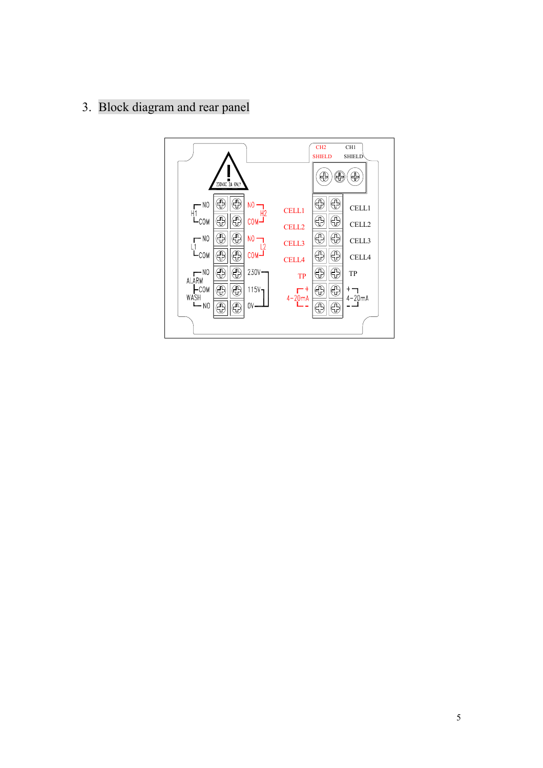# 3. Block diagram and rear panel

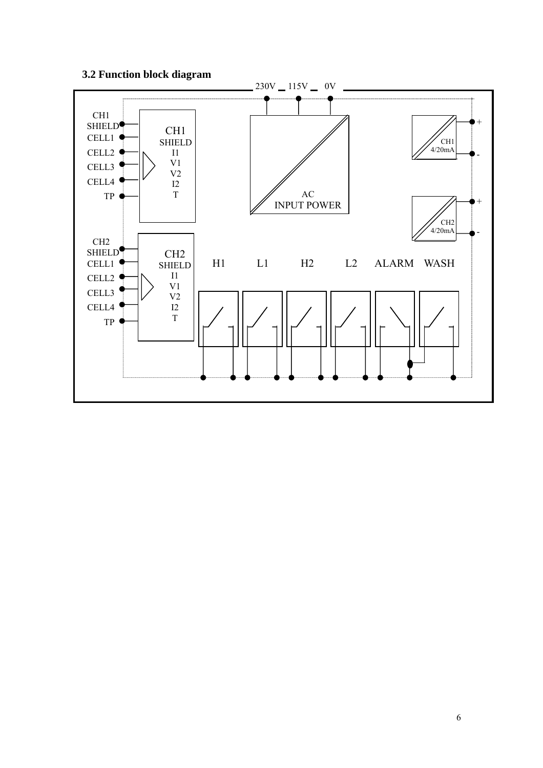### **3.2 Function block diagram**

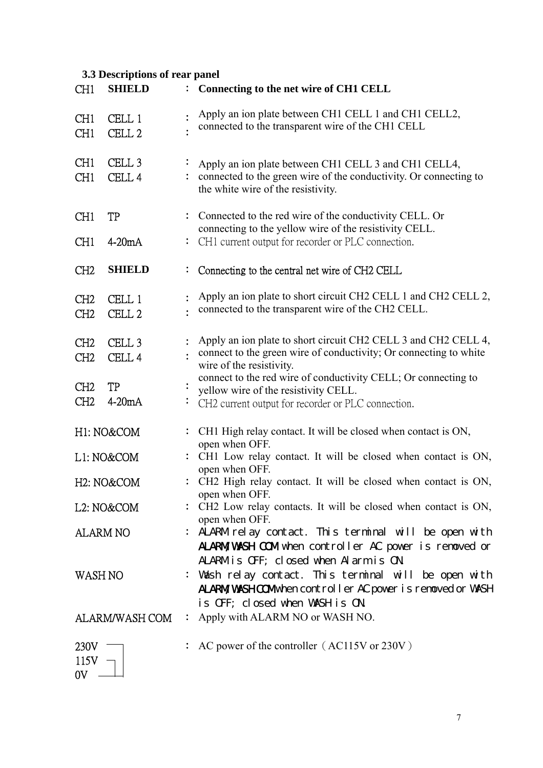# **3.3 Descriptions of rear panel**

| CH <sub>1</sub>                    | <b>SHIELD</b>                          | : Connecting to the net wire of CH1 CELL                                                                                                                                      |
|------------------------------------|----------------------------------------|-------------------------------------------------------------------------------------------------------------------------------------------------------------------------------|
| CH <sub>1</sub><br>CH <sub>1</sub> | CELL 1<br>CELL <sub>2</sub>            | Apply an ion plate between CH1 CELL 1 and CH1 CELL2,<br>connected to the transparent wire of the CH1 CELL                                                                     |
| CH <sub>1</sub><br>CH <sub>1</sub> | CELL <sub>3</sub><br>CELL <sub>4</sub> | Apply an ion plate between CH1 CELL 3 and CH1 CELL4,<br>connected to the green wire of the conductivity. Or connecting to<br>the white wire of the resistivity.               |
| CH <sub>1</sub>                    | <b>TP</b>                              | : Connected to the red wire of the conductivity CELL. Or<br>connecting to the yellow wire of the resistivity CELL.                                                            |
| CH <sub>1</sub>                    | $4-20mA$                               | : CH1 current output for recorder or PLC connection.                                                                                                                          |
| CH <sub>2</sub>                    | <b>SHIELD</b>                          | Connecting to the central net wire of CH2 CELL                                                                                                                                |
| CH <sub>2</sub><br>CH <sub>2</sub> | CELL 1<br>CELL <sub>2</sub>            | Apply an ion plate to short circuit CH2 CELL 1 and CH2 CELL 2,<br>connected to the transparent wire of the CH2 CELL.                                                          |
| CH <sub>2</sub><br>CH <sub>2</sub> | CELL <sub>3</sub><br>CELL <sub>4</sub> | Apply an ion plate to short circuit CH2 CELL 3 and CH2 CELL 4,<br>connect to the green wire of conductivity; Or connecting to white<br>wire of the resistivity.               |
| CH <sub>2</sub><br>CH <sub>2</sub> | <b>TP</b><br>$4-20mA$                  | connect to the red wire of conductivity CELL; Or connecting to<br>yellow wire of the resistivity CELL.<br>CH2 current output for recorder or PLC connection.                  |
|                                    | H1: NO&COM                             | CH1 High relay contact. It will be closed when contact is ON,<br>open when OFF.                                                                                               |
|                                    | L1: NO&COM                             | CH1 Low relay contact. It will be closed when contact is ON,<br>open when OFF.                                                                                                |
|                                    | H <sub>2</sub> : NO&COM                | : CH2 High relay contact. It will be closed when contact is ON,<br>open when OFF.                                                                                             |
|                                    | L2: NO&COM                             | : CH2 Low relay contacts. It will be closed when contact is ON,                                                                                                               |
|                                    | <b>ALARM NO</b>                        | open when OFF.<br>ALARM relay contact. This terminal will be open with<br><b>ALARM WASH COM</b> when controller AC power is renoved or<br>ALARMis OFF; closed when Alarmis ON |
| WASH NO                            |                                        | Wash relay contact. This terminal will be open with<br><b>ALARM WASHCOM</b> when controller AC power is renoved or WASH<br>is OFF; closed when WASH is ON                     |
|                                    | <b>ALARM/WASH COM</b>                  | Apply with ALARM NO or WASH NO.                                                                                                                                               |
| 230V<br>115V<br>0 <sup>V</sup>     |                                        | AC power of the controller (AC115V or 230V)                                                                                                                                   |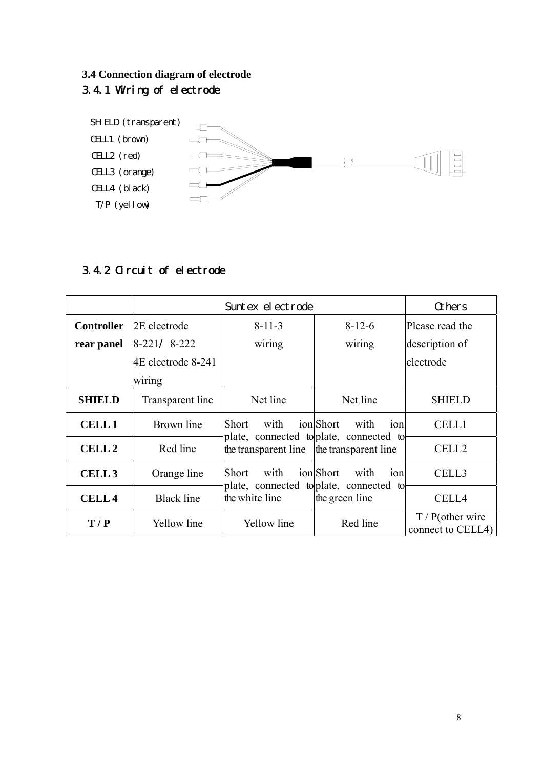# **3.4 Connection diagram of electrode** 3.4.1 Wiring of electrode



# 3.4.2 Circuit of electrode

|                   |                    | Others                                                                           |                                                                    |                                          |
|-------------------|--------------------|----------------------------------------------------------------------------------|--------------------------------------------------------------------|------------------------------------------|
| <b>Controller</b> | 2E electrode       | $8 - 11 - 3$                                                                     | $8 - 12 - 6$                                                       | Please read the                          |
| rear panel        | $8 - 221$<br>8-222 | wiring                                                                           | wiring                                                             | description of                           |
|                   | 4E electrode 8-241 |                                                                                  |                                                                    | electrode                                |
|                   | wiring             |                                                                                  |                                                                    |                                          |
| <b>SHIELD</b>     | Transparent line   | Net line                                                                         | Net line                                                           | <b>SHIELD</b>                            |
| <b>CELL1</b>      | Brown line         | Short<br>with                                                                    | ionShort<br>with<br>10 <sub>n</sub>                                | <b>CELL1</b>                             |
| <b>CELL 2</b>     | Red line           | plate, connected to plate, connected to<br>the transparent line transparent line |                                                                    | CELL <sub>2</sub>                        |
| CELL <sub>3</sub> | Orange line        | <b>Short</b><br>with                                                             | ionShort<br>with<br>ion<br>plate, connected to plate, connected to | CELL3                                    |
| <b>CELL4</b>      | <b>Black line</b>  | the white line                                                                   | the green line                                                     | CELL4                                    |
| T/P               | Yellow line        | Yellow line                                                                      | Red line                                                           | $T / P$ (other wire<br>connect to CELL4) |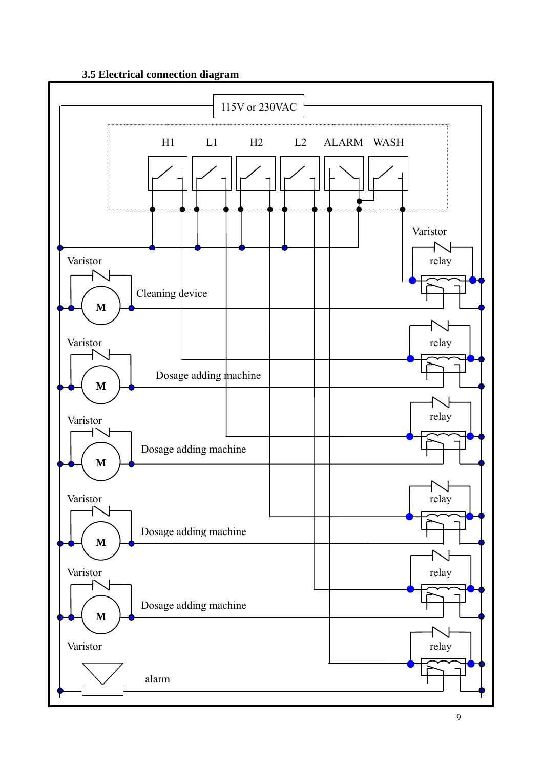#### **3.5 Electrical connection diagram**

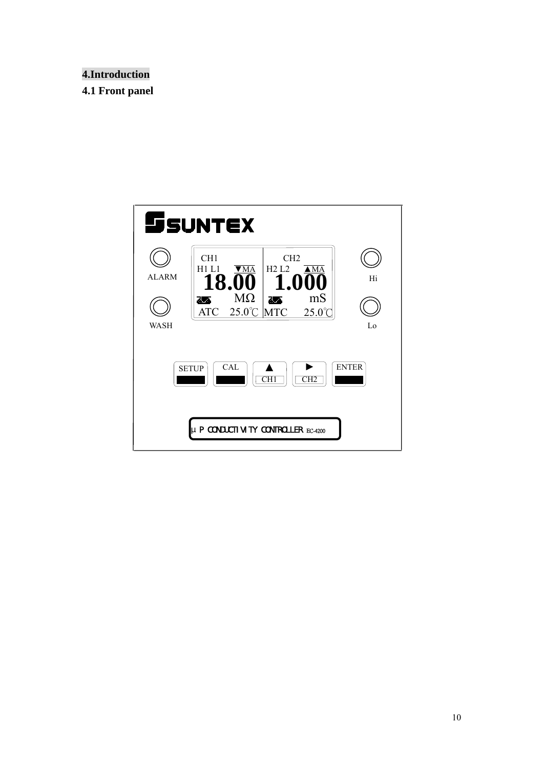## **4.Introduction**

**4.1 Front panel** 

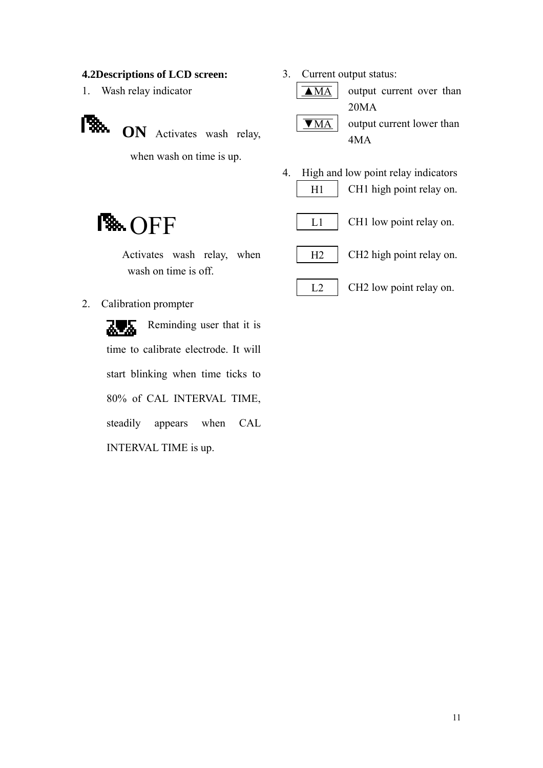#### **4.2Descriptions of LCD screen:**

- 1. Wash relay indicator
- **CON** Activates wash relay,

when wash on time is up.

Activates wash relay, when

wash on time is off.

3. Current output status: ▲MA

output current over than 20MA output current lower than 4MA ▼MA

4. High and low point relay indicators CH1 high point relay on.  $H1$ 



CH2 high point relay on.  $H<sub>2</sub>$ 

 $L<sub>2</sub>$ 

# CH2 low point relay on.

#### 2. Calibration prompter

**B**<sub>OFF</sub>

Reminding user that it is 72 ፌ time to calibrate electrode. It will start blinking when time ticks to 80% of CAL INTERVAL TIME, steadily appears when CAL INTERVAL TIME is up.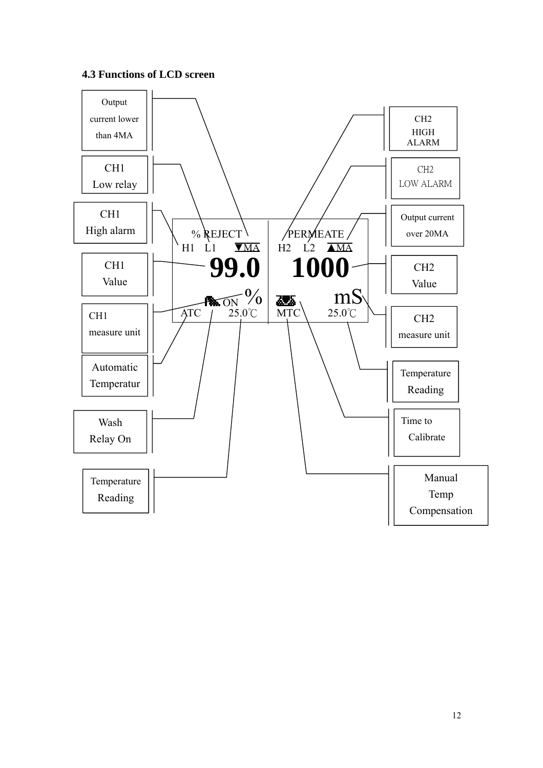#### **4.3 Functions of LCD screen**

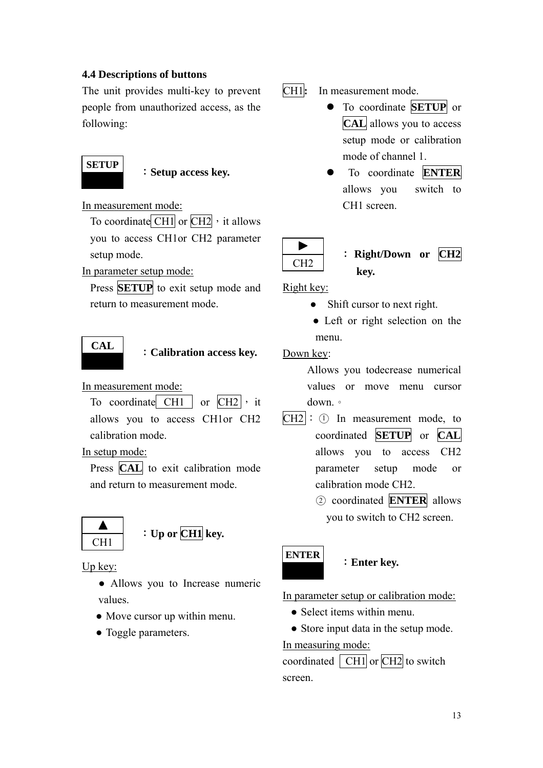#### **4.4 Descriptions of buttons**

The unit provides multi-key to prevent people from unauthorized access, as the following:



:**Setup access key.** 

In measurement mode:

To coordinate  $\overline{CH1}$  or  $\overline{CH2}$ , it allows you to access CH1or CH2 parameter setup mode.

In parameter setup mode:

Press **SETUP** to exit setup mode and return to measurement mode.



#### :**Calibration access key.**

In measurement mode:

To coordinate CH1 or  $CH2$ , it allows you to access CH1or CH2 calibration mode.

In setup mode:

Press **CAL** to exit calibration mode and return to measurement mode.



:**Up or CH1 key.** 

Up key:

- Allows you to Increase numeric values.
- Move cursor up within menu.
- Toggle parameters.

CH1**:** In measurement mode.

- **•** To coordinate **SETUP** or **CAL** allows you to access setup mode or calibration mode of channel 1.
- z To coordinate **ENTER** allows you switch to CH1 screen.



# : **Right/Down or CH2 key.**

Right key:

- Shift cursor to next right.
- Left or right selection on the menu.

Down key:

Allows you todecrease numerical values or move menu cursor down.。

- $CH2$ :  $\odot$  In measurement mode, to coordinated **SETUP** or **CAL** allows you to access CH2 parameter setup mode or calibration mode CH2.
	- ○2 coordinated **ENTER** allows you to switch to CH2 screen.



#### :**Enter key.**

In parameter setup or calibration mode:

- Select items within menu
- Store input data in the setup mode. In measuring mode:

coordinated  $\vert$  CH1 or CH2 to switch screen.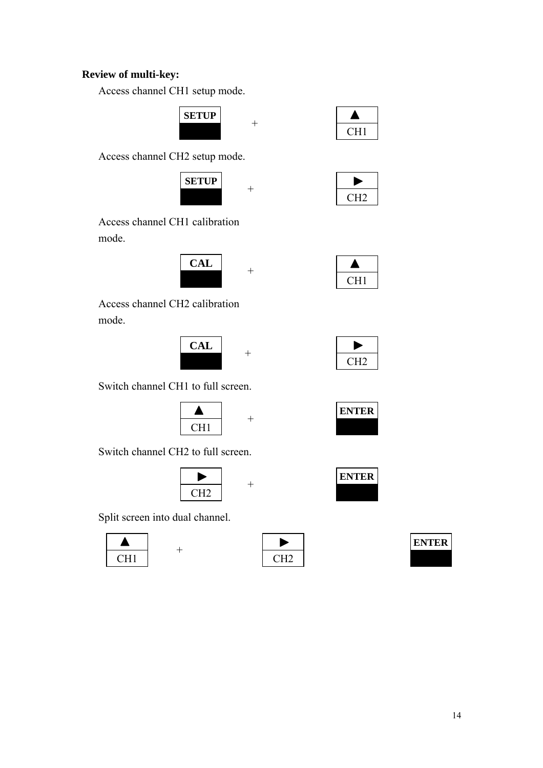### **Review of multi-key:**

Access channel CH1 setup mode.





Access channel CH2 setup mode.



| ,<br>ł. |
|---------|

Access channel CH1 calibration mode.



Access channel CH2 calibration mode.



| 7<br>н<br>Ų. |  |
|--------------|--|

CH1

 $\blacktriangle$ 

**ENTER**

Switch channel CH1 to full screen.



Switch channel CH2 to full screen.

| æ     |  |
|-------|--|
| ר בוי |  |

Split screen into dual channel.

+





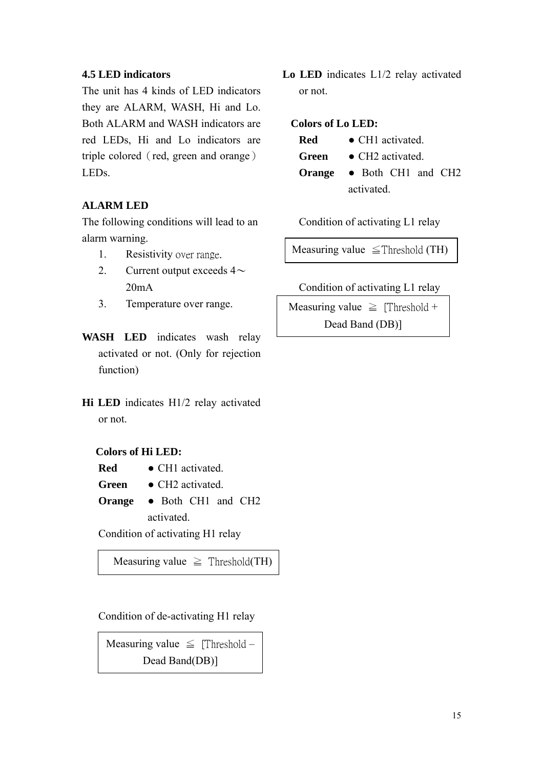#### **4.5 LED indicators**

The unit has 4 kinds of LED indicators they are ALARM, WASH, Hi and Lo. Both ALARM and WASH indicators are red LEDs, Hi and Lo indicators are triple colored (red, green and orange) LEDs.

#### **ALARM LED**

The following conditions will lead to an alarm warning.

- 1. Resistivity over range.
- 2. Current output exceeds  $4\sim$  $20mA$
- 3. Temperature over range.
- **WASH LED** indicates wash relay activated or not. (Only for rejection function)
- **Hi LED** indicates H1/2 relay activated or not.

#### **Colors of Hi LED:**

- **Red** CH1 activated.
- Green **•** CH<sub>2</sub> activated.
- **Orange** Both CH1 and CH2 activated.

Condition of activating H1 relay

Measuring value  $\geq$  Threshold(TH)

Condition of de-activating H1 relay

Measuring value  $\leq$  [Threshold – Dead Band(DB)]

**Lo LED** indicates L1/2 relay activated or not.

#### **Colors of Lo LED:**

- **Red** CH1 activated.
- Green **•** CH<sub>2</sub> activated
- **Orange** Both CH1 and CH2 activated.

Condition of activating L1 relay

Measuring value  $\leq$ Threshold (TH)

Condition of activating L1 relay

Measuring value  $\geq$  [Threshold + Dead Band (DB)]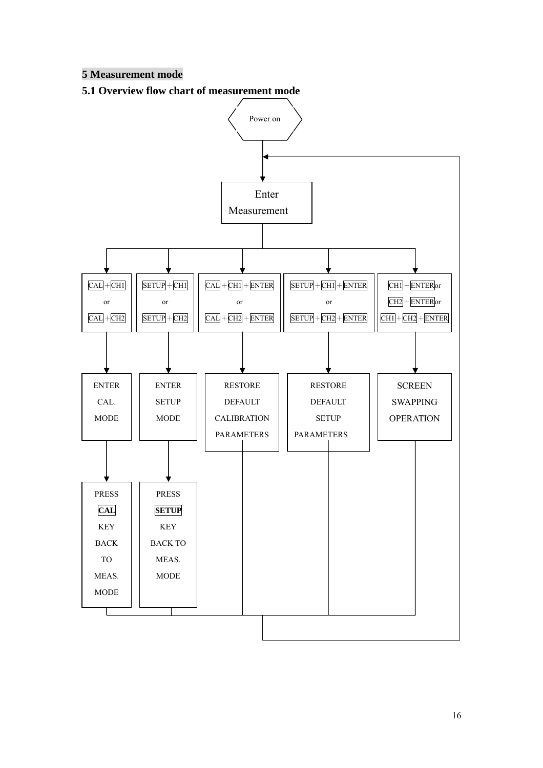### **5 Measurement mode**

**5.1 Overview flow chart of measurement mode** 



16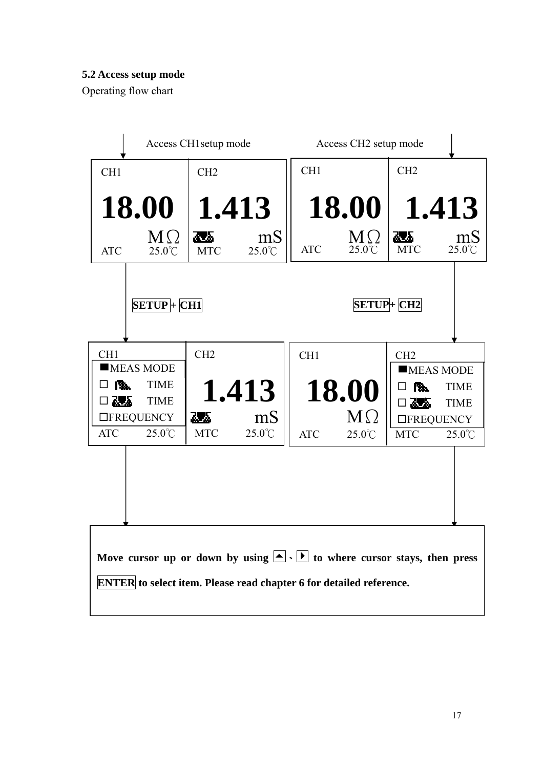## **5.2 Access setup mode**

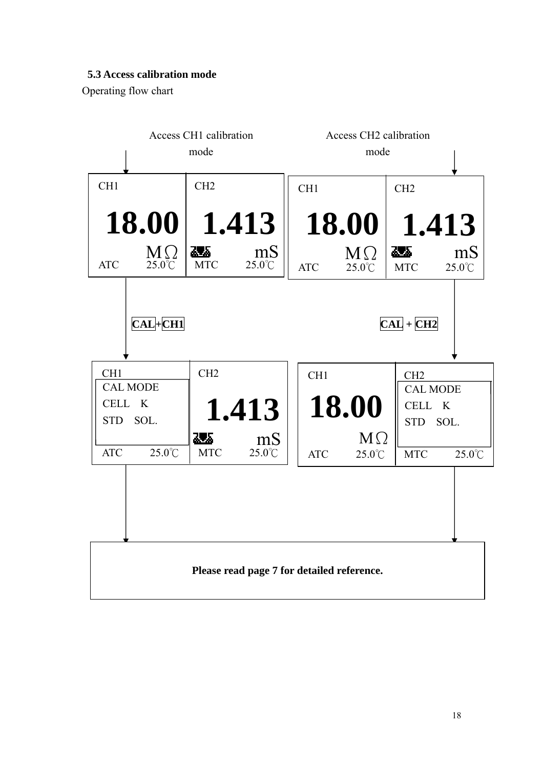## **5.3 Access calibration mode**

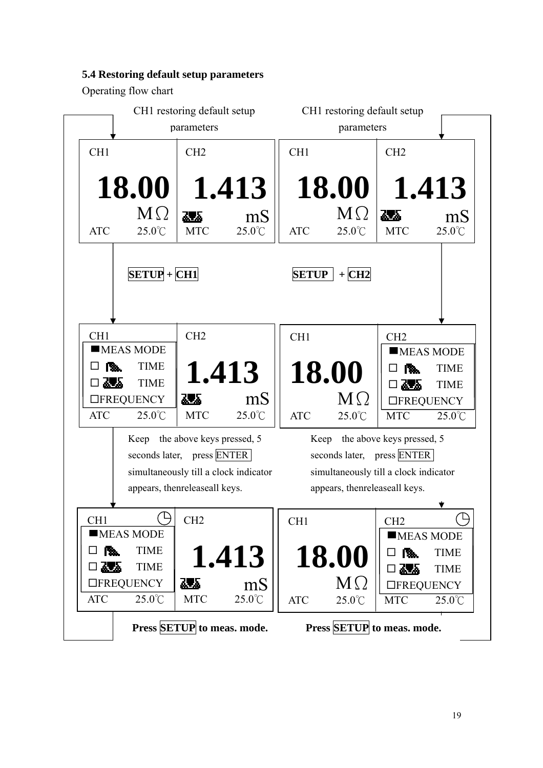## **5.4 Restoring default setup parameters**

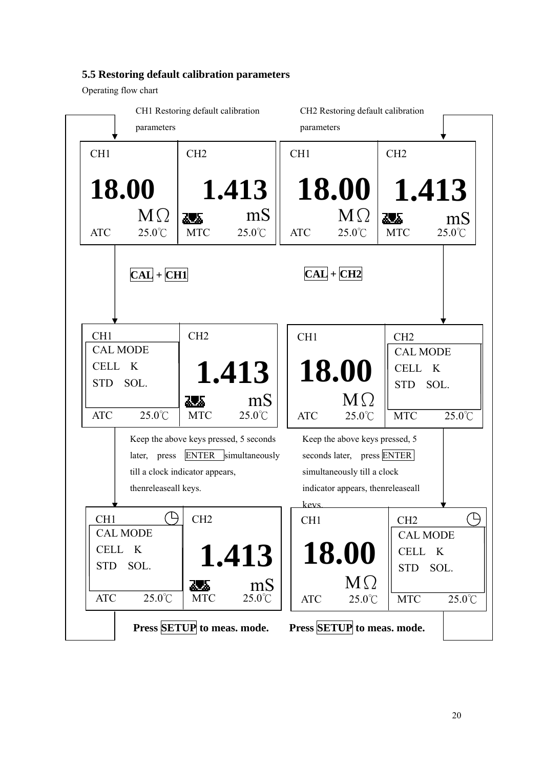#### **5.5 Restoring default calibration parameters**

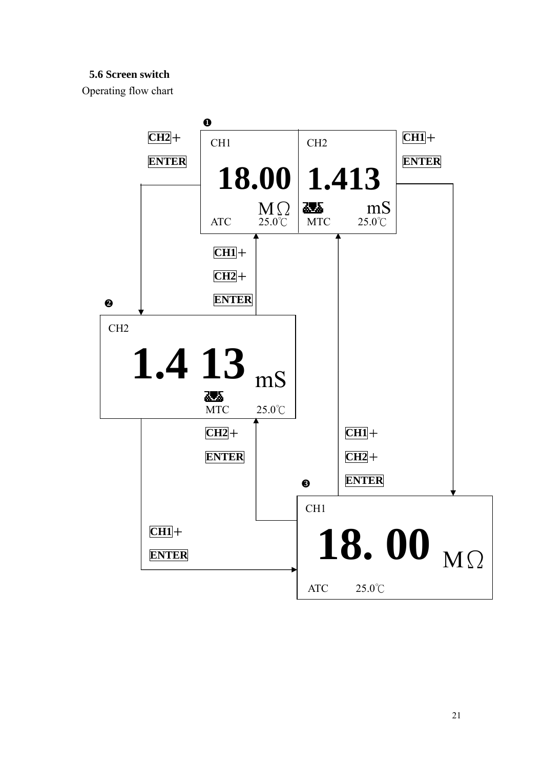### **5.6 Screen switch**

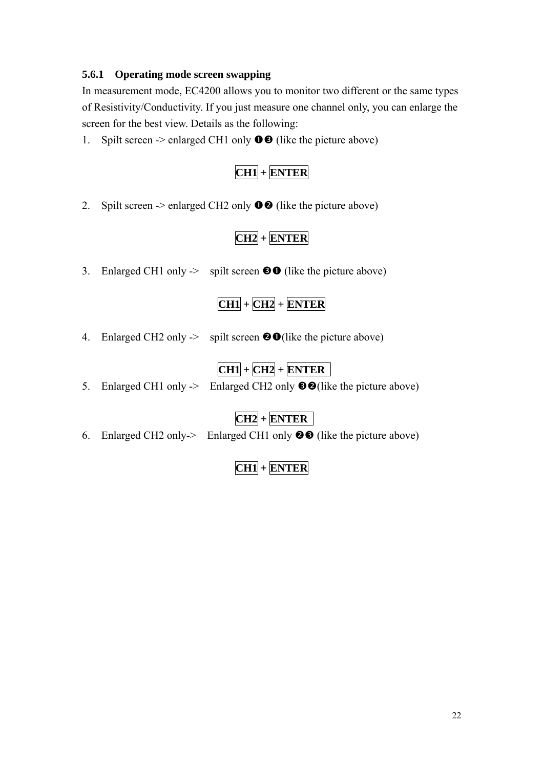#### **5.6.1 Operating mode screen swapping**

In measurement mode, EC4200 allows you to monitor two different or the same types of Resistivity/Conductivity. If you just measure one channel only, you can enlarge the screen for the best view. Details as the following:

1. Spilt screen  $\rightarrow$  enlarged CH1 only  $\bullet$   $\bullet$  (like the picture above)

# **CH1 + ENTER**

2. Spilt screen  $\geq$  enlarged CH2 only  $\bullet$  (like the picture above)

# **CH2 + ENTER**

3. Enlarged CH1 only  $\rightarrow$  spilt screen  $\odot$  (like the picture above)

# **CH1 + CH2 + ENTER**

4. Enlarged CH2 only  $\rightarrow$  spilt screen  $\bullet$  O(like the picture above)

# **CH1 + CH2 + ENTER**

5. Enlarged CH1 only  $\rightarrow$  Enlarged CH2 only  $\odot$  (like the picture above)

**CH2 + ENTER**

6. Enlarged CH2 only- $>$  Enlarged CH1 only  $\odot$  (like the picture above)

**CH1 + ENTER**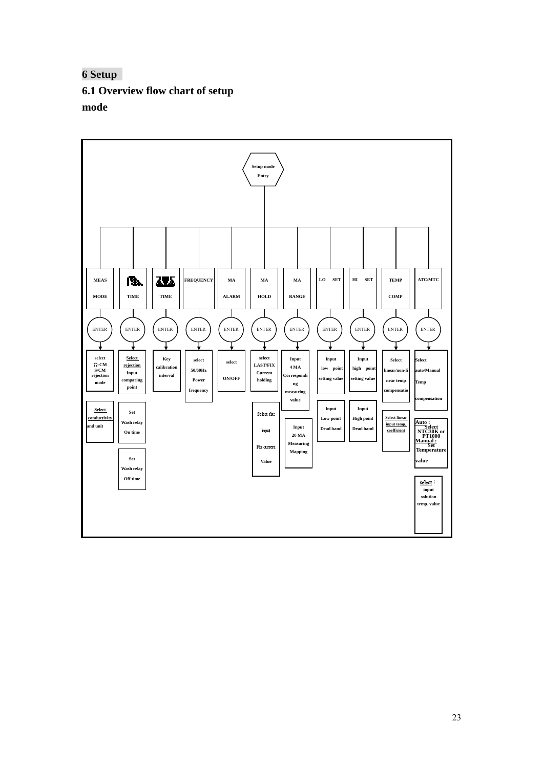**6 Setup 6.1 Overview flow chart of setup mode** 

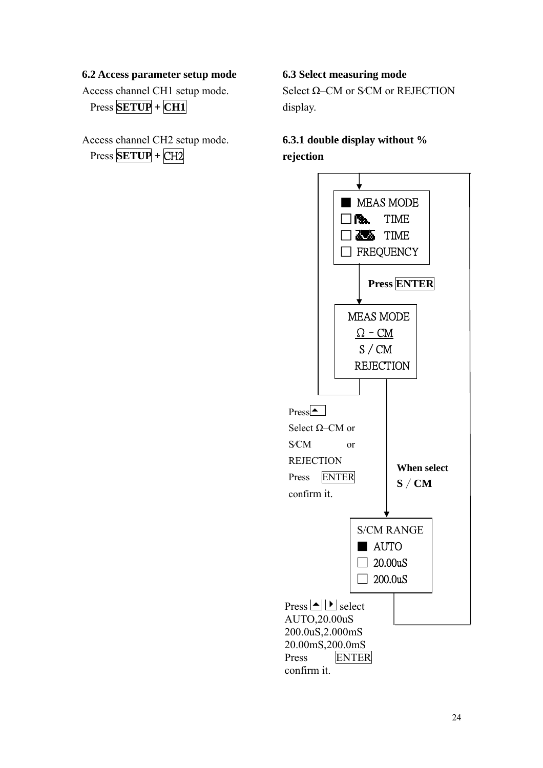#### **6.2 Access parameter setup mode**

Access channel CH1 setup mode. Press **SETUP + CH1** 

Access channel CH2 setup mode. Press **SETUP +** CH2

#### **6.3 Select measuring mode**

Select Ω–CM or S⁄CM or REJECTION display.

# **6.3.1 double display without % rejection**

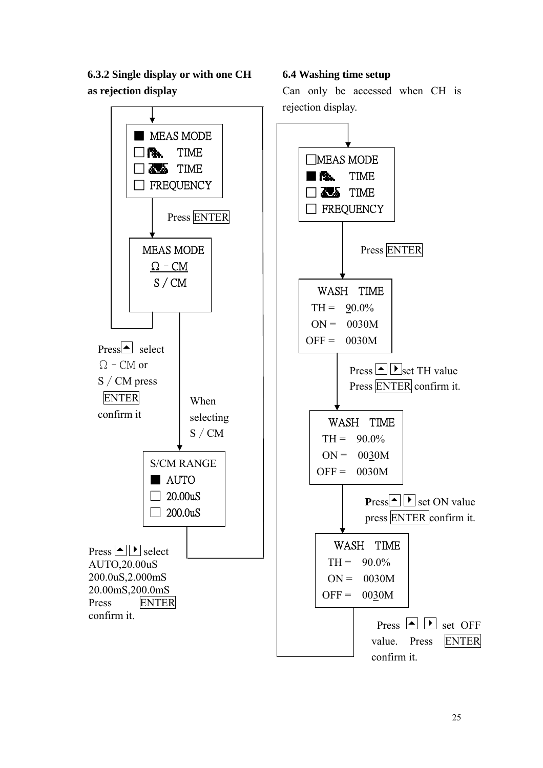**6.3.2 Single display or with one CH as rejection display** 



**6.4 Washing time setup** 

Can only be accessed when CH is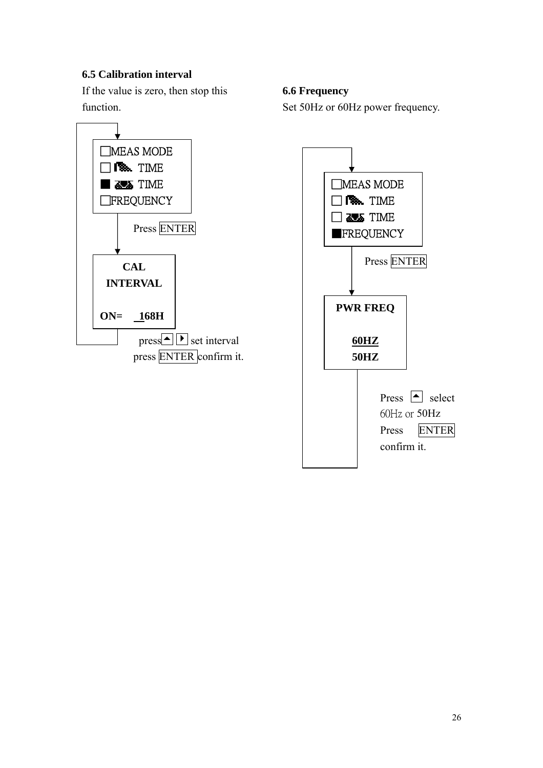## **6.5 Calibration interval**

If the value is zero, then stop this function.



#### **6.6 Frequency**

Set 50Hz or 60Hz power frequency.

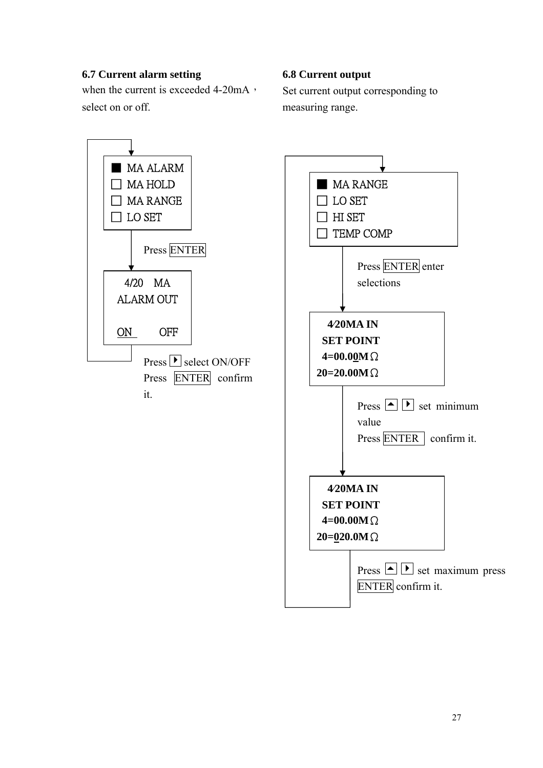### **6.7 Current alarm setting**

when the current is exceeded  $4-20mA$ , select on or off.

#### **6.8 Current output**

Set current output corresponding to measuring range.



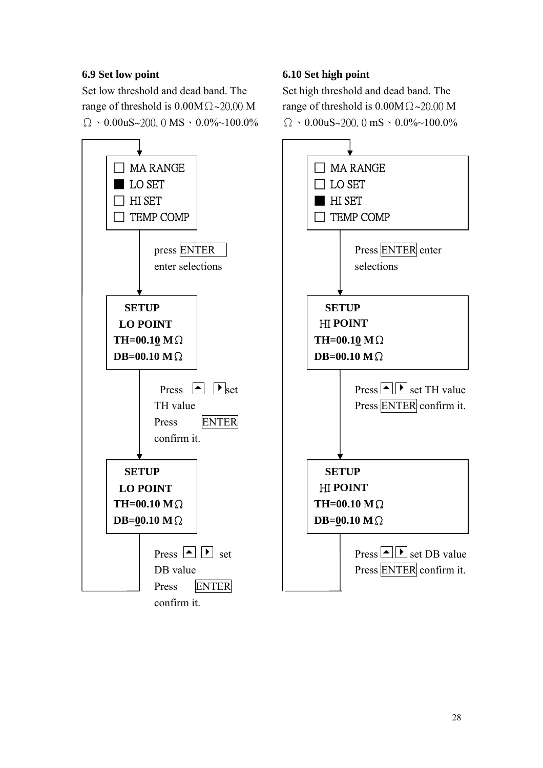## **6.9 Set low point**

Set low threshold and dead band. The range of threshold is  $0.00M\Omega \sim 20.00 M$  $\Omega \cdot 0.00$ uS~200. 0 MS  $\cdot 0.0\%$ ~100.0%



## **6.10 Set high point**

Set high threshold and dead band. The range of threshold is  $0.00M\Omega \sim 20.00 M$  $\Omega \cdot 0.00$ uS~200. 0 mS  $\cdot 0.0\%$ ~100.0%

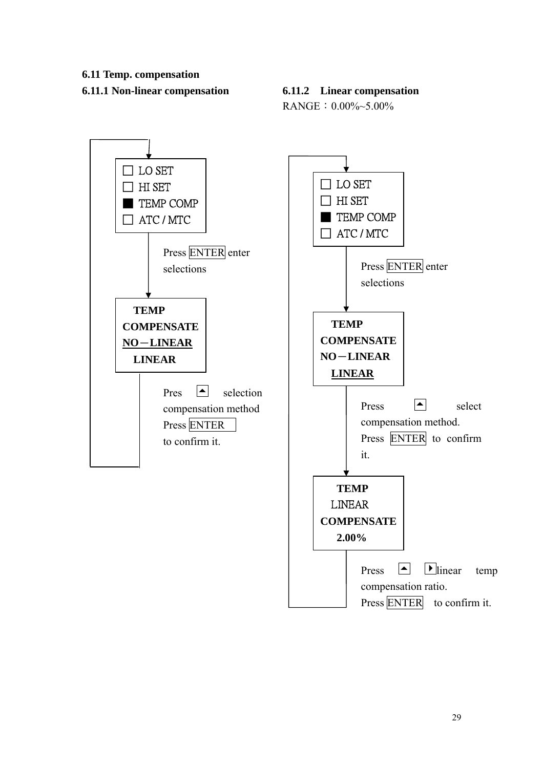#### **6.11 Temp. compensation**

#### **6.11.1 Non-linear compensation 6.11.2 Linear compensation**

RANGE:0.00%~5.00%

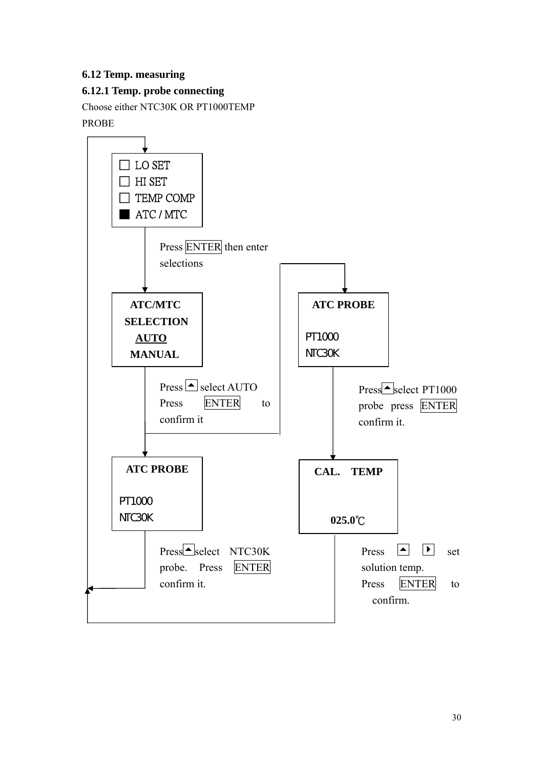## **6.12 Temp. measuring**

## **6.12.1 Temp. probe connecting**

Choose either NTC30K OR PT1000TEMP PROBE

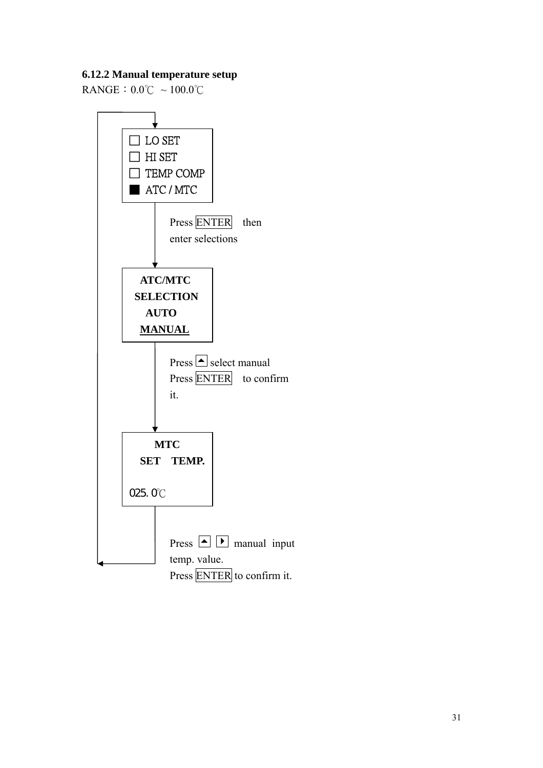## **6.12.2 Manual temperature setup**

RANGE:  $0.0^{\circ}$ C ~ 100.0°C

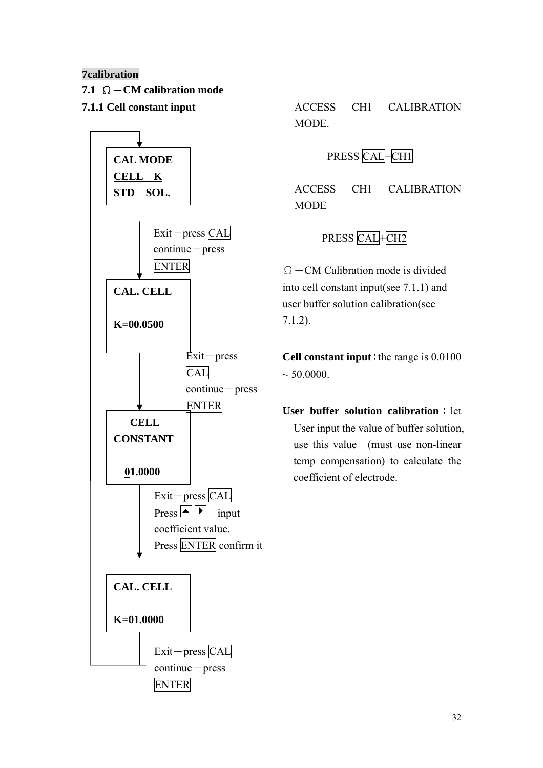## **7calibration**

- **7.1** Ω-**CM calibration mode**
- 



**7.1.1 Cell constant input**  $\triangle$  **ACCESS** CH1 CALIBRATION MODE.

# PRESS CAL+CH1

ACCESS CH1 CALIBRATION **MODE** 

# PRESS CAL+CH2

 $\Omega$  – CM Calibration mode is divided into cell constant input(see 7.1.1) and user buffer solution calibration(see 7.1.2).

**Cell constant input**: the range is  $0.0100$  $\sim 50.0000$ .

**User buffer solution calibration**: let User input the value of buffer solution, use this value (must use non-linear temp compensation) to calculate the coefficient of electrode.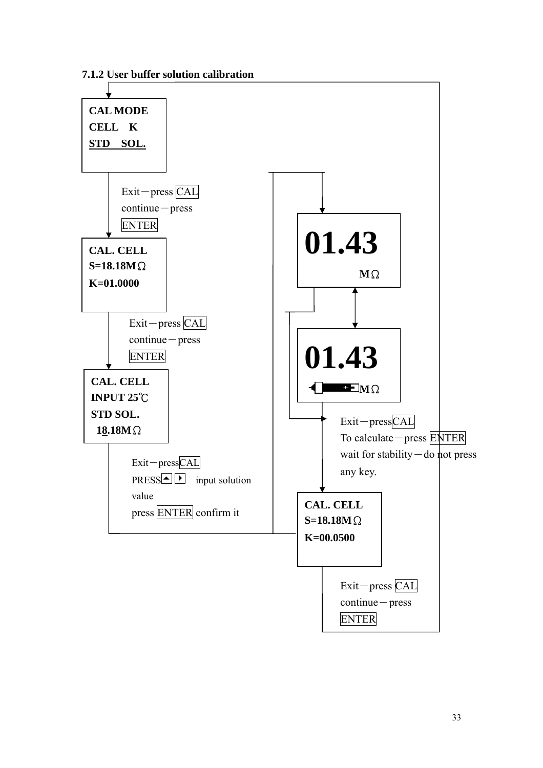**7.1.2 User buffer solution calibration**

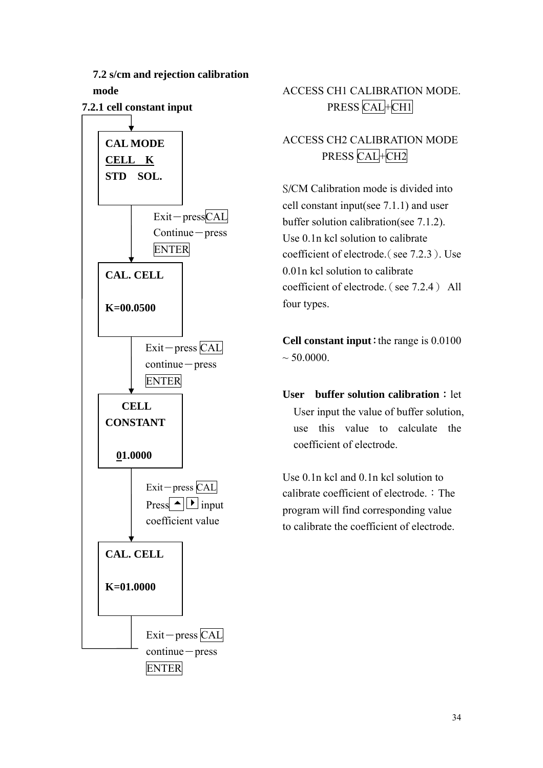

# ACCESS CH1 CALIBRATION MODE. PRESS CAL+CH1

# ACCESS CH2 CALIBRATION MODE PRESS CAL+CH2

S/CM Calibration mode is divided into cell constant input(see 7.1.1) and user buffer solution calibration(see 7.1.2). Use 0.1n kcl solution to calibrate coefficient of electrode.(see 7.2.3). Use 0.01n kcl solution to calibrate coefficient of electrode.(see 7.2.4) All four types.

**Cell constant input**: the range is  $0.0100$  $\sim$  50.0000.

**User** buffer solution calibration : let User input the value of buffer solution, use this value to calculate the coefficient of electrode.

Use 0.1n kcl and 0.1n kcl solution to calibrate coefficient of electrode.: The program will find corresponding value to calibrate the coefficient of electrode.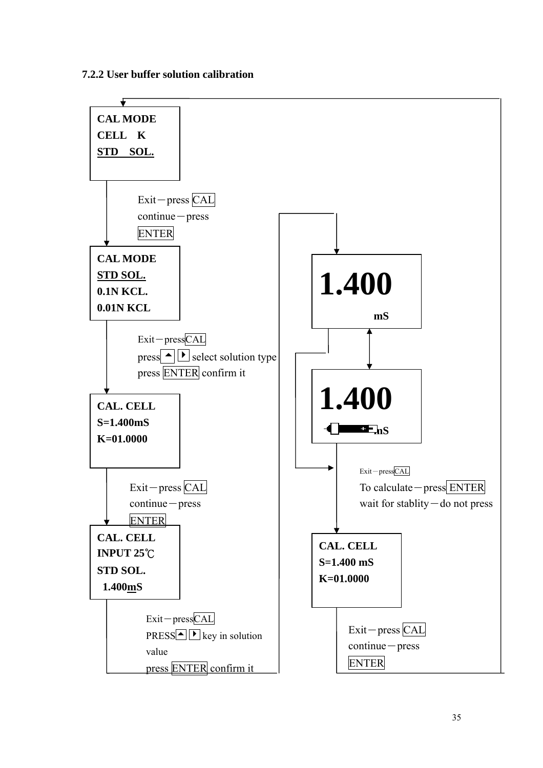#### **7.2.2 User buffer solution calibration**

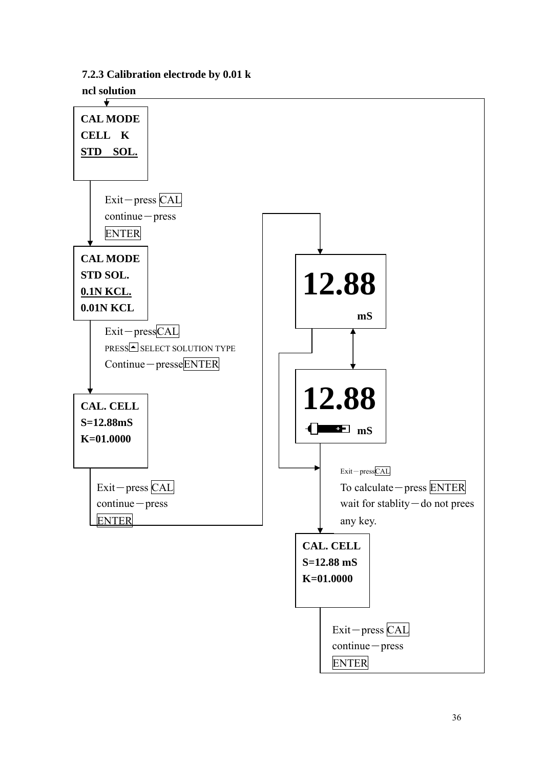**7.2.3 Calibration electrode by 0.01 k** 

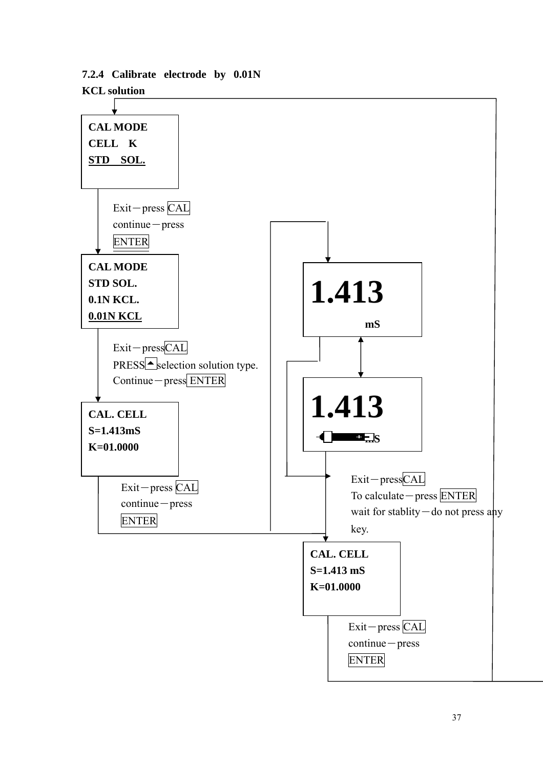

## **7.2.4 Calibrate electrode by 0.01N KCL solution**